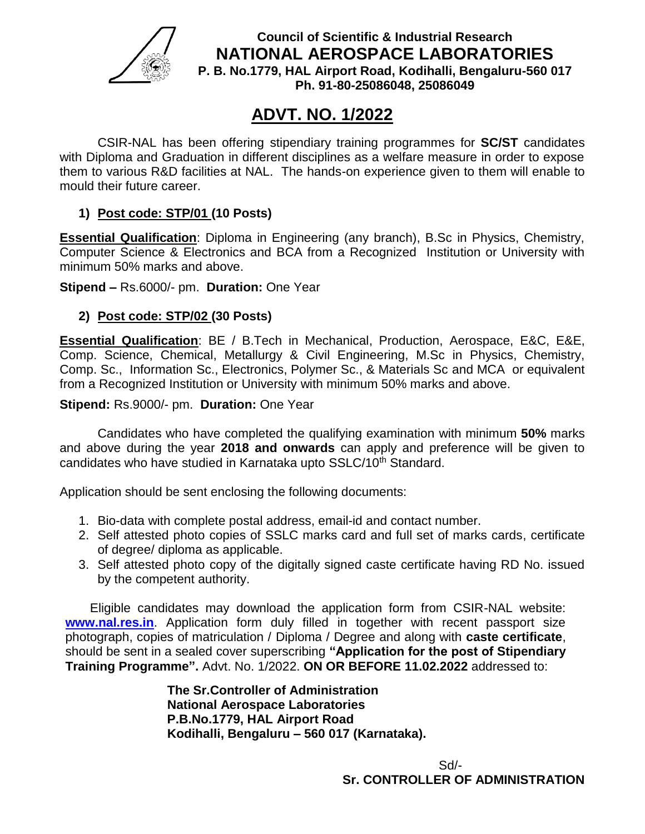

**Council of Scientific & Industrial Research NATIONAL AEROSPACE LABORATORIES P. B. No.1779, HAL Airport Road, Kodihalli, Bengaluru-560 017 Ph. 91-80-25086048, 25086049**

## **ADVT. NO. 1/2022**

CSIR-NAL has been offering stipendiary training programmes for **SC/ST** candidates with Diploma and Graduation in different disciplines as a welfare measure in order to expose them to various R&D facilities at NAL. The hands-on experience given to them will enable to mould their future career.

## **1) Post code: STP/01 (10 Posts)**

**Essential Qualification**: Diploma in Engineering (any branch), B.Sc in Physics, Chemistry, Computer Science & Electronics and BCA from a Recognized Institution or University with minimum 50% marks and above.

**Stipend –** Rs.6000/- pm. **Duration:** One Year

## **2) Post code: STP/02 (30 Posts)**

**Essential Qualification**: BE / B.Tech in Mechanical, Production, Aerospace, E&C, E&E, Comp. Science, Chemical, Metallurgy & Civil Engineering, M.Sc in Physics, Chemistry, Comp. Sc., Information Sc., Electronics, Polymer Sc., & Materials Sc and MCA or equivalent from a Recognized Institution or University with minimum 50% marks and above.

**Stipend:** Rs.9000/- pm. **Duration:** One Year

Candidates who have completed the qualifying examination with minimum **50%** marks and above during the year **2018 and onwards** can apply and preference will be given to candidates who have studied in Karnataka upto SSLC/10<sup>th</sup> Standard.

Application should be sent enclosing the following documents:

- 1. Bio-data with complete postal address, email-id and contact number.
- 2. Self attested photo copies of SSLC marks card and full set of marks cards, certificate of degree/ diploma as applicable.
- 3. Self attested photo copy of the digitally signed caste certificate having RD No. issued by the competent authority.

 Eligible candidates may download the application form from CSIR-NAL website: **[www.nal.res.in](http://www.nal.res.in/)**. Application form duly filled in together with recent passport size photograph, copies of matriculation / Diploma / Degree and along with **caste certificate**, should be sent in a sealed cover superscribing **"Application for the post of Stipendiary Training Programme".** Advt. No. 1/2022. **ON OR BEFORE 11.02.2022** addressed to:

> **The Sr.Controller of Administration National Aerospace Laboratories P.B.No.1779, HAL Airport Road Kodihalli, Bengaluru – 560 017 (Karnataka).**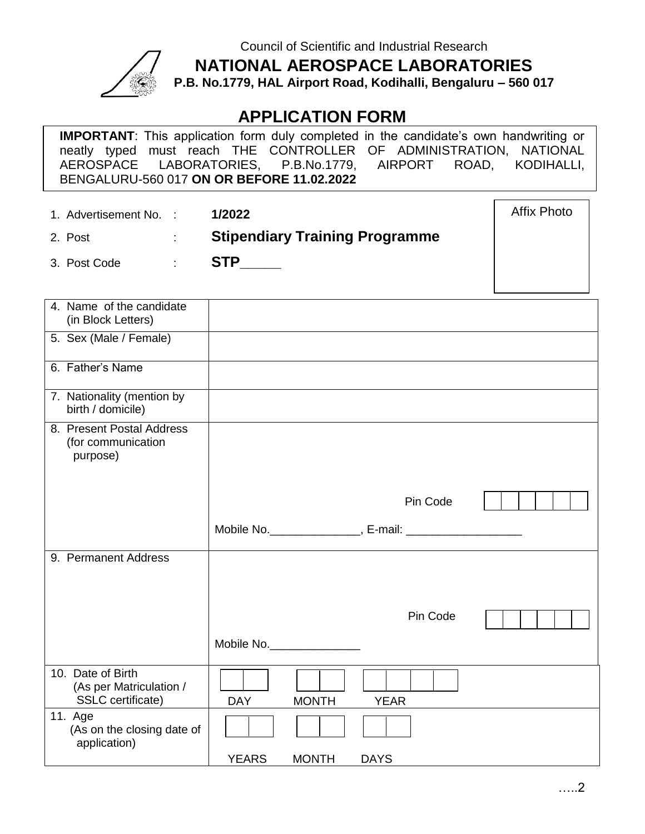

Council of Scientific and Industrial Research

**NATIONAL AEROSPACE LABORATORIES**

**P.B. No.1779, HAL Airport Road, Kodihalli, Bengaluru – 560 017**

## **APPLICATION FORM**

**IMPORTANT**: This application form duly completed in the candidate's own handwriting or neatly typed must reach THE CONTROLLER OF ADMINISTRATION, NATIONAL AEROSPACE LABORATORIES, P.B.No.1779, AIRPORT ROAD, KODIHALLI, BENGALURU-560 017 **ON OR BEFORE 11.02.2022**

1. Advertisement No. : **1/2022**

Affix Photo

2. Post : **Stipendiary Training Programme**

3. Post Code : **STP\_\_\_\_\_**

| 4. Name of the candidate<br>(in Block Letters)                    |              |              |                                                             |  |
|-------------------------------------------------------------------|--------------|--------------|-------------------------------------------------------------|--|
| 5. Sex (Male / Female)                                            |              |              |                                                             |  |
| 6. Father's Name                                                  |              |              |                                                             |  |
| 7. Nationality (mention by<br>birth / domicile)                   |              |              |                                                             |  |
| 8. Present Postal Address<br>(for communication<br>purpose)       |              |              |                                                             |  |
|                                                                   |              |              | Pin Code                                                    |  |
|                                                                   |              |              | Mobile No. ________________, E-mail: ______________________ |  |
| 9. Permanent Address                                              |              |              |                                                             |  |
|                                                                   |              |              | Pin Code                                                    |  |
|                                                                   | Mobile No.   |              |                                                             |  |
| 10. Date of Birth<br>(As per Matriculation /<br>SSLC certificate) | <b>DAY</b>   | <b>MONTH</b> | <b>YEAR</b>                                                 |  |
| 11. Age<br>(As on the closing date of<br>application)             |              |              |                                                             |  |
|                                                                   | <b>YEARS</b> | <b>MONTH</b> | <b>DAYS</b>                                                 |  |